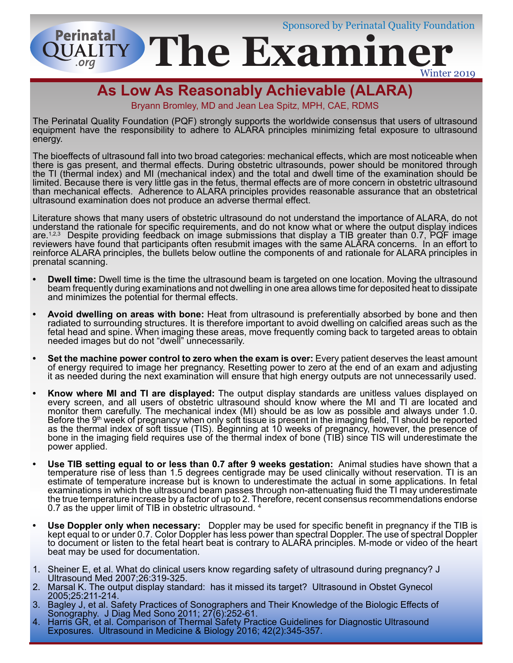Sponsored by Perinatal Quality Foundation

**The Examin UALITY** Winter 2019

# **As Low As Reasonably Achievable (ALARA)**

**Perinatal** 

Bryann Bromley, MD and Jean Lea Spitz, MPH, CAE, RDMS

The Perinatal Quality Foundation (PQF) strongly supports the worldwide consensus that users of ultrasound equipment have the responsibility to adhere to ALARA principles minimizing fetal exposure to ultrasound energy.

The bioeffects of ultrasound fall into two broad categories: mechanical effects, which are most noticeable when there is gas present, and thermal effects. During obstetric ultrasounds, power should be monitored through the TI (thermal index) and MI (mechanical index) and the total and dwell time of the examination should be limited. Because there is very little gas in the fetus, thermal effects are of more concern in obstetric ultrasound than mechanical effects. Adherence to ALARA principles provides reasonable assurance that an obstetrical ultrasound examination does not produce an adverse thermal effect.

Literature shows that many users of obstetric ultrasound do not understand the importance of ALARA, do not understand the rationale for specific requirements, and do not know what or where the output display indices are.<sup>1,2,3</sup> Despite providing feedback on image submissions that display a TIB greater than 0.7, PQF image reviewers have found that participants often resubmit images with the same ALARA concerns. In an effort to reinforce ALARA principles, the bullets below outline the components of and rationale for ALARA principles in prenatal scanning.

- **• Dwell time:** Dwell time is the time the ultrasound beam is targeted on one location. Moving the ultrasound beam frequently during examinations and not dwelling in one area allows time for deposited heat to dissipate and minimizes the potential for thermal effects.
- **• Avoid dwelling on areas with bone:** Heat from ultrasound is preferentially absorbed by bone and then radiated to surrounding structures. It is therefore important to avoid dwelling on calcified areas such as the fetal head and spine. When imaging these areas, move frequently coming back to targeted areas to obtain needed images but do not "dwell" unnecessarily.
- Set the machine power control to zero when the exam is over: Every patient deserves the least amount of energy required to image her pregnancy. Resetting power to zero at the end of an exam and adjusting it as needed during the next examination will ensure that high energy outputs are not unnecessarily used.
- **• Know where MI and TI are displayed:** The output display standards are unitless values displayed on every screen, and all users of obstetric ultrasound should know where the MI and TI are located and monitor them carefully. The mechanical index (MI) should be as low as possible and always under 1.0. Before the 9<sup>th</sup> week of pregnancy when only soft tissue is present in the imaging field, TI should be reported as the thermal index of soft tissue (TIS). Beginning at 10 weeks of pregnancy, however, the presence of bone in the imaging field requires use of the thermal index of bone (TIB) since TIS will underestimate the power applied.
- **• Use TIB setting equal to or less than 0.7 after 9 weeks gestation:** Animal studies have shown that a temperature rise of less than 1.5 degrees centigrade may be used clinically without reservation. TI is an estimate of temperature increase but is known to underestimate the actual in some applications. In fetal examinations in which the ultrasound beam passes through non-attenuating fluid the TI may underestimate the true temperature increase by a factor of up to 2. Therefore, recent consensus recommendations endorse 0.7 as the upper limit of TIB in obstetric ultrasound. 4
- **• Use Doppler only when necessary:** Doppler may be used for specific benefit in pregnancy if the TIB is kept equal to or under 0.7. Color Doppler has less power than spectral Doppler. The use of spectral Doppler to document or listen to the fetal heart beat is contrary to ALARA principles. M-mode or video of the heart beat may be used for documentation.
- 1. Sheiner E, et al. What do clinical users know regarding safety of ultrasound during pregnancy? J Ultrasound Med 2007;26:319-325.
- 2. Marsal K. The output display standard: has it missed its target? Ultrasound in Obstet Gynecol 2005;25:211-214.
- 3. Bagley J, et al. Safety Practices of Sonographers and Their Knowledge of the Biologic Effects of Sonography. J Diag Med Sono 2011; 27(6):252-61.
- 4. Harris GR, et al. Comparison of Thermal Safety Practice Guidelines for Diagnostic Ultrasound Exposures. Ultrasound in Medicine & Biology 2016; 42(2):345-357.